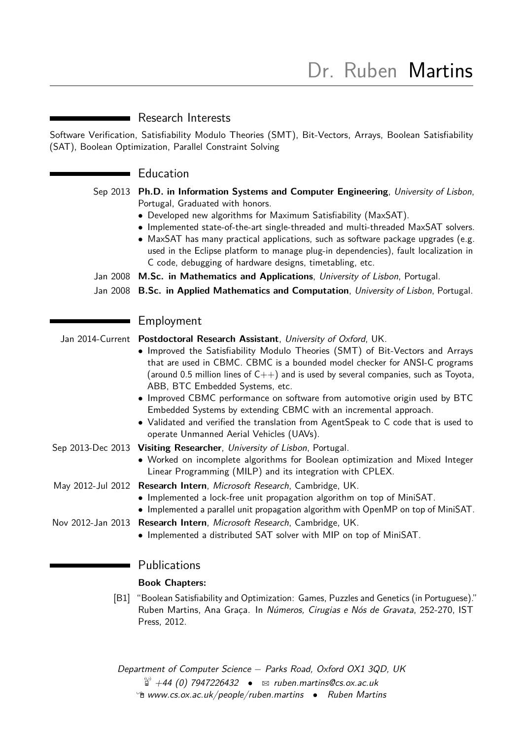# ■ Research Interests

Software Verification, Satisfiability Modulo Theories (SMT), Bit-Vectors, Arrays, Boolean Satisfiability (SAT), Boolean Optimization, Parallel Constraint Solving

## Education

| Sep 2013 Ph.D. in Information Systems and Computer Engineering, University of Lisbon, |
|---------------------------------------------------------------------------------------|
| Portugal, Graduated with honors.                                                      |

- Developed new algorithms for Maximum Satisfiability (MaxSAT).
- Implemented state-of-the-art single-threaded and multi-threaded MaxSAT solvers.
- MaxSAT has many practical applications, such as software package upgrades (e.g. used in the Eclipse platform to manage plug-in dependencies), fault localization in C code, debugging of hardware designs, timetabling, etc.
- Jan 2008 **M.Sc. in Mathematics and Applications**, University of Lisbon, Portugal.
- Jan 2008 **B.Sc. in Applied Mathematics and Computation**, University of Lisbon, Portugal.

## **Employment**

Jan 2014-Current **Postdoctoral Research Assistant**, University of Oxford, UK.

- Improved the Satisfiability Modulo Theories (SMT) of Bit-Vectors and Arrays that are used in CBMC. CBMC is a bounded model checker for ANSI-C programs (around 0.5 million lines of  $C++$ ) and is used by several companies, such as Toyota, ABB, BTC Embedded Systems, etc.
- Improved CBMC performance on software from automotive origin used by BTC Embedded Systems by extending CBMC with an incremental approach.
- Validated and verified the translation from AgentSpeak to C code that is used to operate Unmanned Aerial Vehicles (UAVs).
- Sep 2013-Dec 2013 **Visiting Researcher**, University of Lisbon, Portugal.
	- Worked on incomplete algorithms for Boolean optimization and Mixed Integer Linear Programming (MILP) and its integration with CPLEX.
- May 2012-Jul 2012 **Research Intern**, Microsoft Research, Cambridge, UK.
	- Implemented a lock-free unit propagation algorithm on top of MiniSAT.
	- Implemented a parallel unit propagation algorithm with OpenMP on top of MiniSAT.
- Nov 2012-Jan 2013 **Research Intern**, Microsoft Research, Cambridge, UK.
	- Implemented a distributed SAT solver with MIP on top of MiniSAT.

# **Publications**

## **Book Chapters:**

[B1] "Boolean Satisfiability and Optimization: Games, Puzzles and Genetics (in Portuguese)." Ruben Martins, Ana Graça. In Números, Cirugias e Nós de Gravata, 252-270, IST Press, 2012.

Department of Computer Science – Parks Road, Oxford OX1 3QD, UK  $\overset{\circledR}{=}$  +44 (0) 7947226432 •  $\approx$  [ruben.martins@cs.ox.ac.uk](mailto:ruben.martins@cs.ox.ac.uk)  $\hat{P}$  [www.cs.ox.ac.uk/people/ruben.martins](http://www.cs.ox.ac.uk/people/ruben.martins) • Ruben Martins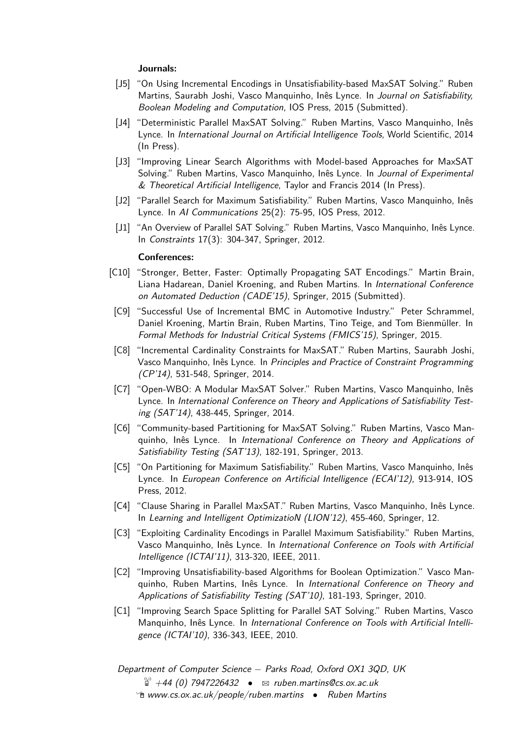#### **Journals:**

- [J5] "On Using Incremental Encodings in Unsatisfiability-based MaxSAT Solving." Ruben Martins, Saurabh Joshi, Vasco Manquinho, Inês Lynce. In Journal on Satisfiability, Boolean Modeling and Computation, IOS Press, 2015 (Submitted).
- [J4] "Deterministic Parallel MaxSAT Solving." Ruben Martins, Vasco Manquinho, Inês Lynce. In International Journal on Artificial Intelligence Tools, World Scientific, 2014 (In Press).
- [J3] "Improving Linear Search Algorithms with Model-based Approaches for MaxSAT Solving." Ruben Martins, Vasco Manquinho, Inês Lynce. In Journal of Experimental & Theoretical Artificial Intelligence, Taylor and Francis 2014 (In Press).
- [J2] "Parallel Search for Maximum Satisfiability." Ruben Martins, Vasco Manquinho, Inês Lynce. In AI Communications 25(2): 75-95, IOS Press, 2012.
- [J1] "An Overview of Parallel SAT Solving." Ruben Martins, Vasco Manquinho, Inês Lynce. In Constraints 17(3): 304-347, Springer, 2012.

#### **Conferences:**

- [C10] "Stronger, Better, Faster: Optimally Propagating SAT Encodings." Martin Brain, Liana Hadarean, Daniel Kroening, and Ruben Martins. In International Conference on Automated Deduction (CADE'15), Springer, 2015 (Submitted).
- [C9] "Successful Use of Incremental BMC in Automotive Industry." Peter Schrammel, Daniel Kroening, Martin Brain, Ruben Martins, Tino Teige, and Tom Bienmüller. In Formal Methods for Industrial Critical Systems (FMICS'15), Springer, 2015.
- [C8] "Incremental Cardinality Constraints for MaxSAT." Ruben Martins, Saurabh Joshi, Vasco Manquinho, Inês Lynce. In Principles and Practice of Constraint Programming (CP'14), 531-548, Springer, 2014.
- [C7] "Open-WBO: A Modular MaxSAT Solver." Ruben Martins, Vasco Manquinho, Inês Lynce. In International Conference on Theory and Applications of Satisfiability Testing (SAT'14), 438-445, Springer, 2014.
- [C6] "Community-based Partitioning for MaxSAT Solving." Ruben Martins, Vasco Manquinho, Inês Lynce. In International Conference on Theory and Applications of Satisfiability Testing (SAT'13), 182-191, Springer, 2013.
- [C5] "On Partitioning for Maximum Satisfiability." Ruben Martins, Vasco Manquinho, Inês Lynce. In European Conference on Artificial Intelligence (ECAI'12), 913-914, IOS Press, 2012.
- [C4] "Clause Sharing in Parallel MaxSAT." Ruben Martins, Vasco Manquinho, Inês Lynce. In Learning and Intelligent OptimizatioN (LION'12), 455-460, Springer, 12.
- [C3] "Exploiting Cardinality Encodings in Parallel Maximum Satisfiability." Ruben Martins, Vasco Manquinho, Inês Lynce. In International Conference on Tools with Artificial Intelligence (ICTAI'11), 313-320, IEEE, 2011.
- [C2] "Improving Unsatisfiability-based Algorithms for Boolean Optimization." Vasco Manquinho, Ruben Martins, Inês Lynce. In International Conference on Theory and Applications of Satisfiability Testing (SAT'10), 181-193, Springer, 2010.
- [C1] "Improving Search Space Splitting for Parallel SAT Solving." Ruben Martins, Vasco Manquinho, Inês Lynce. In International Conference on Tools with Artificial Intelligence (ICTAI'10), 336-343, IEEE, 2010.

Department of Computer Science – Parks Road, Oxford OX1 3QD, UK  $\ddot{a}$  +44 (0) 7947226432 •  $\approx$  [ruben.martins@cs.ox.ac.uk](mailto:ruben.martins@cs.ox.ac.uk)  $\hat{P}$  [www.cs.ox.ac.uk/people/ruben.martins](http://www.cs.ox.ac.uk/people/ruben.martins) • Ruben Martins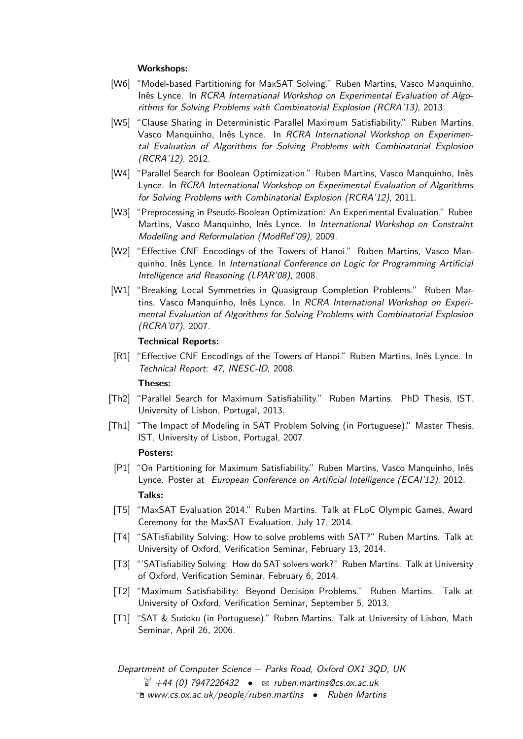### **Workshops:**

- [W6] "Model-based Partitioning for MaxSAT Solving." Ruben Martins, Vasco Manquinho, Inês Lynce. In RCRA International Workshop on Experimental Evaluation of Algorithms for Solving Problems with Combinatorial Explosion (RCRA'13), 2013.
- [W5] "Clause Sharing in Deterministic Parallel Maximum Satisfiability." Ruben Martins, Vasco Manquinho, Inês Lynce. In RCRA International Workshop on Experimental Evaluation of Algorithms for Solving Problems with Combinatorial Explosion (RCRA'12), 2012.
- [W4] "Parallel Search for Boolean Optimization." Ruben Martins, Vasco Manquinho, Inês Lynce. In RCRA International Workshop on Experimental Evaluation of Algorithms for Solving Problems with Combinatorial Explosion (RCRA'12), 2011.
- [W3] "Preprocessing in Pseudo-Boolean Optimization: An Experimental Evaluation." Ruben Martins, Vasco Manquinho, Inês Lynce. In International Workshop on Constraint Modelling and Reformulation (ModRef'09), 2009.
- [W2] "Effective CNF Encodings of the Towers of Hanoi." Ruben Martins, Vasco Manquinho, Inês Lynce. In International Conference on Logic for Programming Artificial Intelligence and Reasoning (LPAR'08), 2008.
- [W1] "Breaking Local Symmetries in Quasigroup Completion Problems." Ruben Martins, Vasco Manquinho, Inês Lynce. In RCRA International Workshop on Experimental Evaluation of Algorithms for Solving Problems with Combinatorial Explosion (RCRA'07), 2007.

### **Technical Reports:**

[R1] "Effective CNF Encodings of the Towers of Hanoi." Ruben Martins, Inês Lynce. In Technical Report: 47, INESC-ID, 2008.

#### **Theses:**

- [Th2] "Parallel Search for Maximum Satisfiability." Ruben Martins. PhD Thesis, IST, University of Lisbon, Portugal, 2013.
- [Th1] "The Impact of Modeling in SAT Problem Solving (in Portuguese)." Master Thesis, IST, University of Lisbon, Portugal, 2007.

#### **Posters:**

- [P1] "On Partitioning for Maximum Satisfiability." Ruben Martins, Vasco Manquinho, Inês Lynce. Poster at European Conference on Artificial Intelligence (ECAI'12), 2012. **Talks:**
- [T5] "MaxSAT Evaluation 2014." Ruben Martins. Talk at FLoC Olympic Games, Award Ceremony for the MaxSAT Evaluation, July 17, 2014.
- [T4] "SATisfiability Solving: How to solve problems with SAT?" Ruben Martins. Talk at University of Oxford, Verification Seminar, February 13, 2014.
- [T3] "'SATisfiability Solving: How do SAT solvers work?" Ruben Martins. Talk at University of Oxford, Verification Seminar, February 6, 2014.
- [T2] "Maximum Satisfiability: Beyond Decision Problems." Ruben Martins. Talk at University of Oxford, Verification Seminar, September 5, 2013.
- [T1] "SAT & Sudoku (in Portuguese)." Ruben Martins. Talk at University of Lisbon, Math Seminar, April 26, 2006.

Department of Computer Science – Parks Road, Oxford OX1 3QD, UK  $\ddot{a}$  +44 (0) 7947226432 •  $\approx$  [ruben.martins@cs.ox.ac.uk](mailto:ruben.martins@cs.ox.ac.uk) Í [www.cs.ox.ac.uk/people/ruben.martins](http://www.cs.ox.ac.uk/people/ruben.martins) • Ruben Martins